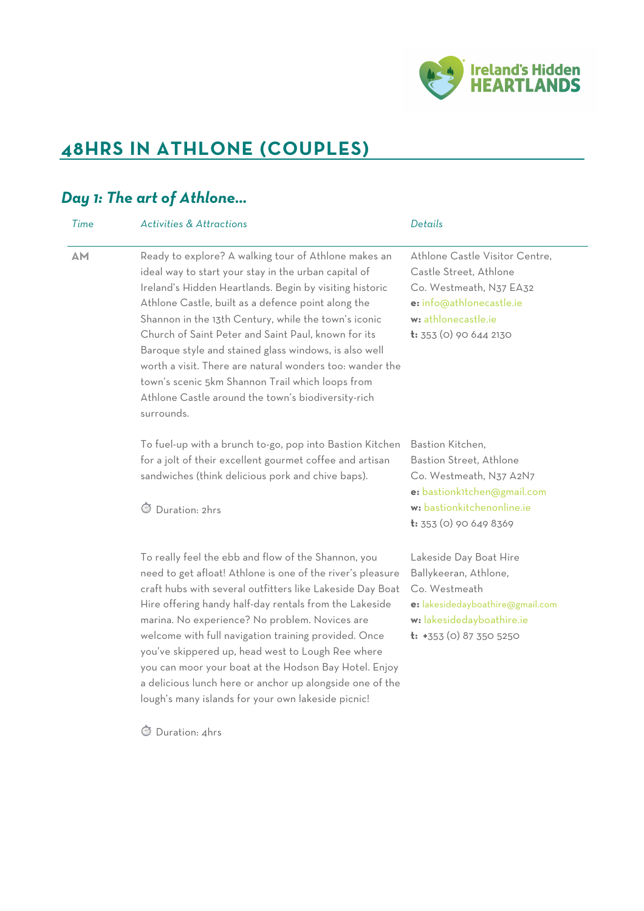

# **48HRS IN ATHLONE (COUPLES)**

### *Day 1: The art of Athlone…*

| Time | <b>Activities &amp; Attractions</b>                                                                                                                                                                                                                                                                                                                                                                                                                                                                                                                                                       | Details                                                                                                                                                            |
|------|-------------------------------------------------------------------------------------------------------------------------------------------------------------------------------------------------------------------------------------------------------------------------------------------------------------------------------------------------------------------------------------------------------------------------------------------------------------------------------------------------------------------------------------------------------------------------------------------|--------------------------------------------------------------------------------------------------------------------------------------------------------------------|
| AM   | Ready to explore? A walking tour of Athlone makes an<br>ideal way to start your stay in the urban capital of<br>Ireland's Hidden Heartlands. Begin by visiting historic<br>Athlone Castle, built as a defence point along the<br>Shannon in the 13th Century, while the town's iconic<br>Church of Saint Peter and Saint Paul, known for its<br>Baroque style and stained glass windows, is also well<br>worth a visit. There are natural wonders too: wander the<br>town's scenic 5km Shannon Trail which loops from<br>Athlone Castle around the town's biodiversity-rich<br>surrounds. | Athlone Castle Visitor Centre,<br>Castle Street, Athlone<br>Co. Westmeath, N37 EA32<br>e: info@athlonecastle.ie<br>w: athlonecastle.ie<br>$t: 353$ (0) 90 644 2130 |
|      | To fuel-up with a brunch to-go, pop into Bastion Kitchen<br>for a jolt of their excellent gourmet coffee and artisan<br>sandwiches (think delicious pork and chive baps).<br>Duration: 2hrs                                                                                                                                                                                                                                                                                                                                                                                               | Bastion Kitchen,<br>Bastion Street, Athlone<br>Co. Westmeath, N37 A2N7<br>e: bastionk1tchen@gmail.com<br>w: bastionkitchenonline.ie<br>t: 353 (0) 90 649 8369      |
|      | To really feel the ebb and flow of the Shannon, you<br>need to get afloat! Athlone is one of the river's pleasure<br>craft hubs with several outfitters like Lakeside Day Boat<br>Hire offering handy half-day rentals from the Lakeside<br>marina. No experience? No problem. Novices are<br>welcome with full navigation training provided. Once<br>you've skippered up, head west to Lough Ree where<br>you can moor your boat at the Hodson Bay Hotel. Enjoy<br>a delicious lunch here or anchor up alongside one of the<br>lough's many islands for your own lakeside picnic!        | Lakeside Day Boat Hire<br>Ballykeeran, Athlone,<br>Co. Westmeath<br>e: lakesidedayboathire@gmail.com<br>w: lakesidedayboathire.ie<br>$t: +353$ (0) 87 350 5250     |
|      | Duration: 4hrs                                                                                                                                                                                                                                                                                                                                                                                                                                                                                                                                                                            |                                                                                                                                                                    |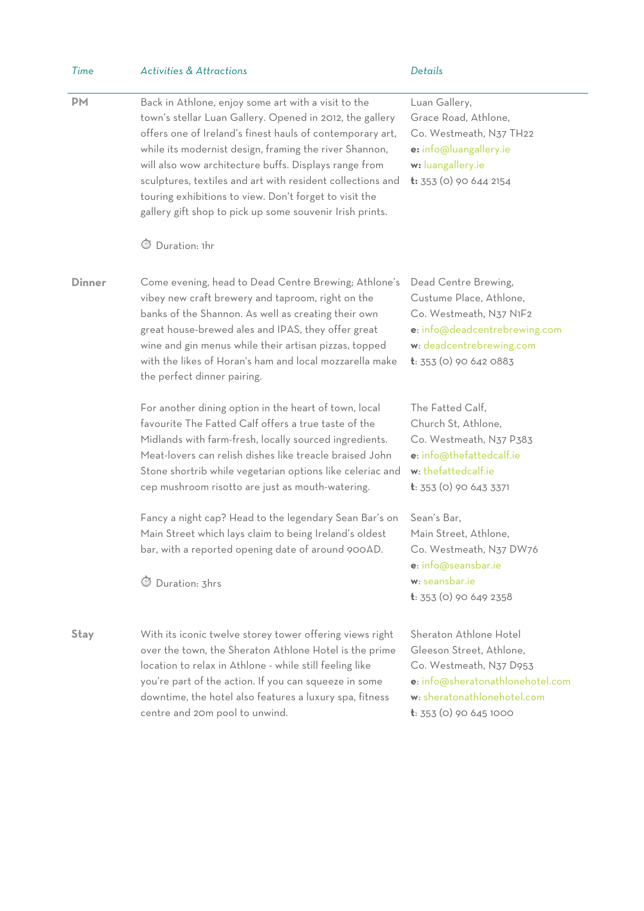| Time          | <b>Activities &amp; Attractions</b>                                                                                                                                                                                                                                                                                                                                                                                                                                                                       | Details                                                                                                                                                                      |
|---------------|-----------------------------------------------------------------------------------------------------------------------------------------------------------------------------------------------------------------------------------------------------------------------------------------------------------------------------------------------------------------------------------------------------------------------------------------------------------------------------------------------------------|------------------------------------------------------------------------------------------------------------------------------------------------------------------------------|
| <b>PM</b>     | Back in Athlone, enjoy some art with a visit to the<br>town's stellar Luan Gallery. Opened in 2012, the gallery<br>offers one of Ireland's finest hauls of contemporary art,<br>while its modernist design, framing the river Shannon,<br>will also wow architecture buffs. Displays range from<br>sculptures, textiles and art with resident collections and<br>touring exhibitions to view. Don't forget to visit the<br>gallery gift shop to pick up some souvenir Irish prints.<br>Duration: 1hr<br>Ø | Luan Gallery,<br>Grace Road, Athlone,<br>Co. Westmeath, N37 TH22<br>e: info@luangallery.ie<br>w: luangallery.ie<br><b>t:</b> 353 (0) 90 644 2154                             |
| <b>Dinner</b> | Come evening, head to Dead Centre Brewing; Athlone's<br>vibey new craft brewery and taproom, right on the<br>banks of the Shannon. As well as creating their own<br>great house-brewed ales and IPAS, they offer great<br>wine and gin menus while their artisan pizzas, topped<br>with the likes of Horan's ham and local mozzarella make<br>the perfect dinner pairing.                                                                                                                                 | Dead Centre Brewing,<br>Custume Place, Athlone,<br>Co. Westmeath, N37 N1F2<br>e: info@deadcentrebrewing.com<br>w: deadcentrebrewing.com<br>$t: 353$ (0) 90 642 0883          |
|               | For another dining option in the heart of town, local<br>favourite The Fatted Calf offers a true taste of the<br>Midlands with farm-fresh, locally sourced ingredients.<br>Meat-lovers can relish dishes like treacle braised John<br>Stone shortrib while vegetarian options like celeriac and<br>cep mushroom risotto are just as mouth-watering.                                                                                                                                                       | The Fatted Calf,<br>Church St, Athlone,<br>Co. Westmeath, N37 P383<br>e: info@thefattedcalf.ie<br>w: thefattedcalf.ie<br>$t: 353$ (0) 90 643 3371                            |
|               | Fancy a night cap? Head to the legendary Sean Bar's on<br>Main Street which lays claim to being Ireland's oldest<br>bar, with a reported opening date of around 900AD.<br>Duration: 3hrs<br>$\circlearrowleft$                                                                                                                                                                                                                                                                                            | Sean's Bar,<br>Main Street, Athlone,<br>Co. Westmeath, N37 DW76<br>e: info@seansbar.ie<br>w: seansbar.ie<br>$t: 353$ (0) 90 649 2358                                         |
| <b>Stay</b>   | With its iconic twelve storey tower offering views right<br>over the town, the Sheraton Athlone Hotel is the prime<br>location to relax in Athlone - while still feeling like<br>you're part of the action. If you can squeeze in some<br>downtime, the hotel also features a luxury spa, fitness<br>centre and 20m pool to unwind.                                                                                                                                                                       | Sheraton Athlone Hotel<br>Gleeson Street, Athlone,<br>Co. Westmeath, N37 D953<br>e: info@sheratonathlonehotel.com<br>w: sheratonathlonehotel.com<br>$t: 353$ (0) 90 645 1000 |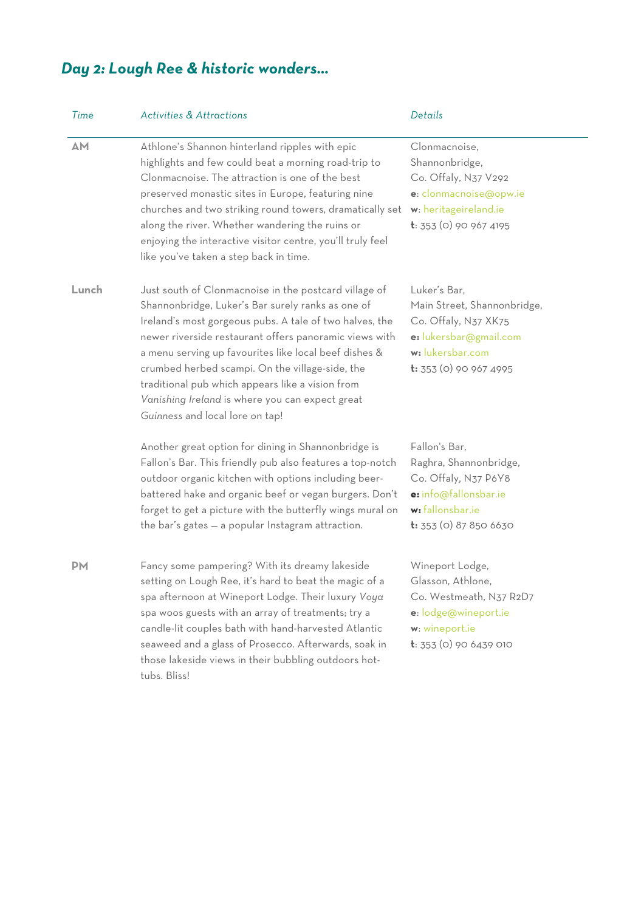## *Day 2: Lough Ree & historic wonders…*

| Time      | <b>Activities &amp; Attractions</b>                                                                                                                                                                                                                                                                                                                                                                                                                                                   | Details                                                                                                                                            |
|-----------|---------------------------------------------------------------------------------------------------------------------------------------------------------------------------------------------------------------------------------------------------------------------------------------------------------------------------------------------------------------------------------------------------------------------------------------------------------------------------------------|----------------------------------------------------------------------------------------------------------------------------------------------------|
| <b>AM</b> | Athlone's Shannon hinterland ripples with epic<br>highlights and few could beat a morning road-trip to<br>Clonmacnoise. The attraction is one of the best<br>preserved monastic sites in Europe, featuring nine<br>churches and two striking round towers, dramatically set<br>along the river. Whether wandering the ruins or<br>enjoying the interactive visitor centre, you'll truly feel<br>like you've taken a step back in time.                                                | Clonmacnoise.<br>Shannonbridge,<br>Co. Offaly, N37 V292<br>e: clonmacnoise@opw.ie<br>w: heritageireland.ie<br>t: 353 (0) 90 967 4195               |
| Lunch     | Just south of Clonmacnoise in the postcard village of<br>Shannonbridge, Luker's Bar surely ranks as one of<br>Ireland's most gorgeous pubs. A tale of two halves, the<br>newer riverside restaurant offers panoramic views with<br>a menu serving up favourites like local beef dishes &<br>crumbed herbed scampi. On the village-side, the<br>traditional pub which appears like a vision from<br>Vanishing Ireland is where you can expect great<br>Guinness and local lore on tap! | Luker's Bar,<br>Main Street, Shannonbridge,<br>Co. Offaly, N37 XK75<br>e: lukersbar@gmail.com<br>w: lukersbar.com<br><b>t:</b> 353 (0) 90 967 4995 |
|           | Another great option for dining in Shannonbridge is<br>Fallon's Bar. This friendly pub also features a top-notch<br>outdoor organic kitchen with options including beer-<br>battered hake and organic beef or vegan burgers. Don't<br>forget to get a picture with the butterfly wings mural on<br>the bar's gates - a popular Instagram attraction.                                                                                                                                  | Fallon's Bar,<br>Raghra, Shannonbridge,<br>Co. Offaly, N37 P6Y8<br>e: info@fallonsbar.ie<br>w: fallonsbar.ie<br>$t: 353$ (0) 87 850 6630           |
| <b>PM</b> | Fancy some pampering? With its dreamy lakeside<br>setting on Lough Ree, it's hard to beat the magic of a<br>spa afternoon at Wineport Lodge. Their luxury Voya<br>spa woos guests with an array of treatments; try a<br>candle-lit couples bath with hand-harvested Atlantic<br>seaweed and a glass of Prosecco. Afterwards, soak in<br>those lakeside views in their bubbling outdoors hot-<br>tubs. Bliss!                                                                          | Wineport Lodge,<br>Glasson, Athlone,<br>Co. Westmeath, N37 R2D7<br>e: lodge@wineport.ie<br>w: wineport.ie<br>$t: 353$ (0) 90 6439 010              |